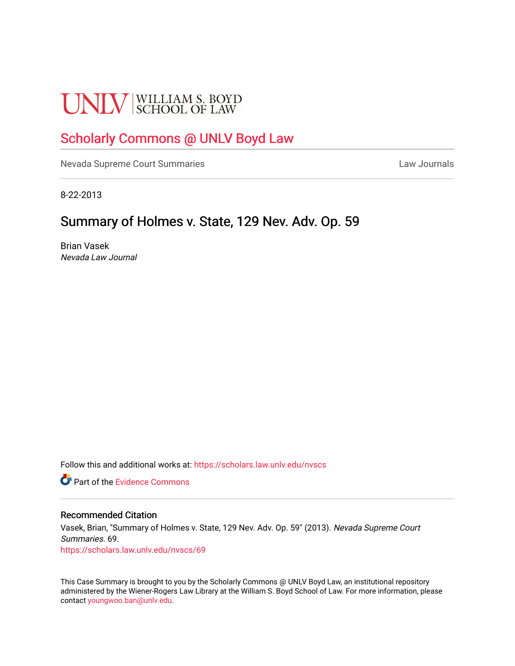# **UNLV** SCHOOL OF LAW

## [Scholarly Commons @ UNLV Boyd Law](https://scholars.law.unlv.edu/)

[Nevada Supreme Court Summaries](https://scholars.law.unlv.edu/nvscs) **Law Journals** Law Journals

8-22-2013

### Summary of Holmes v. State, 129 Nev. Adv. Op. 59

Brian Vasek Nevada Law Journal

Follow this and additional works at: [https://scholars.law.unlv.edu/nvscs](https://scholars.law.unlv.edu/nvscs?utm_source=scholars.law.unlv.edu%2Fnvscs%2F69&utm_medium=PDF&utm_campaign=PDFCoverPages)

**C** Part of the Evidence Commons

#### Recommended Citation

Vasek, Brian, "Summary of Holmes v. State, 129 Nev. Adv. Op. 59" (2013). Nevada Supreme Court Summaries. 69. [https://scholars.law.unlv.edu/nvscs/69](https://scholars.law.unlv.edu/nvscs/69?utm_source=scholars.law.unlv.edu%2Fnvscs%2F69&utm_medium=PDF&utm_campaign=PDFCoverPages) 

This Case Summary is brought to you by the Scholarly Commons @ UNLV Boyd Law, an institutional repository administered by the Wiener-Rogers Law Library at the William S. Boyd School of Law. For more information, please contact [youngwoo.ban@unlv.edu](mailto:youngwoo.ban@unlv.edu).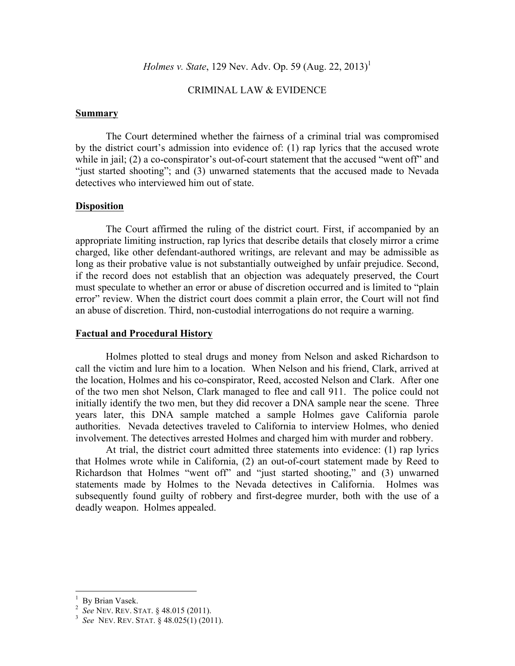#### CRIMINAL LAW & EVIDENCE

#### **Summary**

The Court determined whether the fairness of a criminal trial was compromised by the district court's admission into evidence of: (1) rap lyrics that the accused wrote while in jail; (2) a co-conspirator's out-of-court statement that the accused "went off" and "just started shooting"; and (3) unwarned statements that the accused made to Nevada detectives who interviewed him out of state.

#### **Disposition**

The Court affirmed the ruling of the district court. First, if accompanied by an appropriate limiting instruction, rap lyrics that describe details that closely mirror a crime charged, like other defendant-authored writings, are relevant and may be admissible as long as their probative value is not substantially outweighed by unfair prejudice. Second, if the record does not establish that an objection was adequately preserved, the Court must speculate to whether an error or abuse of discretion occurred and is limited to "plain error" review. When the district court does commit a plain error, the Court will not find an abuse of discretion. Third, non-custodial interrogations do not require a warning.

#### **Factual and Procedural History**

Holmes plotted to steal drugs and money from Nelson and asked Richardson to call the victim and lure him to a location. When Nelson and his friend, Clark, arrived at the location, Holmes and his co-conspirator, Reed, accosted Nelson and Clark. After one of the two men shot Nelson, Clark managed to flee and call 911. The police could not initially identify the two men, but they did recover a DNA sample near the scene. Three years later, this DNA sample matched a sample Holmes gave California parole authorities. Nevada detectives traveled to California to interview Holmes, who denied involvement. The detectives arrested Holmes and charged him with murder and robbery.

At trial, the district court admitted three statements into evidence: (1) rap lyrics that Holmes wrote while in California, (2) an out-of-court statement made by Reed to Richardson that Holmes "went off" and "just started shooting," and (3) unwarned statements made by Holmes to the Nevada detectives in California. Holmes was subsequently found guilty of robbery and first-degree murder, both with the use of a deadly weapon. Holmes appealed.

 <sup>1</sup> By Brian Vasek. <sup>2</sup> *See* NEV. REV. STAT. § 48.015 (2011). <sup>3</sup> *See* NEV. REV. STAT. § 48.025(1) (2011).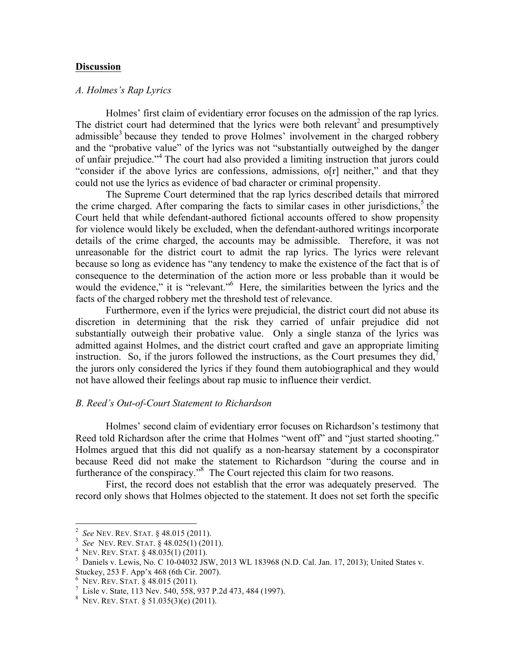#### **Discussion**

#### *A. Holmes's Rap Lyrics*

Holmes' first claim of evidentiary error focuses on the admission of the rap lyrics. The district court had determined that the lyrics were both relevant<sup>2</sup> and presumptively admissible<sup>3</sup> because they tended to prove Holmes' involvement in the charged robbery and the "probative value" of the lyrics was not "substantially outweighed by the danger of unfair prejudice." <sup>4</sup> The court had also provided a limiting instruction that jurors could "consider if the above lyrics are confessions, admissions, o[r] neither," and that they could not use the lyrics as evidence of bad character or criminal propensity.

The Supreme Court determined that the rap lyrics described details that mirrored the crime charged. After comparing the facts to similar cases in other jurisdictions, <sup>5</sup> the Court held that while defendant-authored fictional accounts offered to show propensity for violence would likely be excluded, when the defendant-authored writings incorporate details of the crime charged, the accounts may be admissible. Therefore, it was not unreasonable for the district court to admit the rap lyrics. The lyrics were relevant because so long as evidence has "any tendency to make the existence of the fact that is of consequence to the determination of the action more or less probable than it would be would the evidence," it is "relevant."<sup>6</sup> Here, the similarities between the lyrics and the facts of the charged robbery met the threshold test of relevance.

Furthermore, even if the lyrics were prejudicial, the district court did not abuse its discretion in determining that the risk they carried of unfair prejudice did not substantially outweigh their probative value. Only a single stanza of the lyrics was admitted against Holmes, and the district court crafted and gave an appropriate limiting instruction. So, if the jurors followed the instructions, as the Court presumes they did, $\overline{7}$ the jurors only considered the lyrics if they found them autobiographical and they would not have allowed their feelings about rap music to influence their verdict.

#### *B. Reed's Out-of-Court Statement to Richardson*

Holmes' second claim of evidentiary error focuses on Richardson's testimony that Reed told Richardson after the crime that Holmes "went off" and "just started shooting." Holmes argued that this did not qualify as a non-hearsay statement by a coconspirator because Reed did not make the statement to Richardson "during the course and in furtherance of the conspiracy."<sup>8</sup> The Court rejected this claim for two reasons.

First, the record does not establish that the error was adequately preserved. The record only shows that Holmes objected to the statement. It does not set forth the specific

<sup>&</sup>lt;sup>2</sup> See NEV. REV. STAT. § 48.015 (2011).<br>
<sup>3</sup> See NEV. REV. STAT. § 48.025(1) (2011).<br>
<sup>4</sup> NEV. REV. STAT. § 48.035(1) (2011).<br>
<sup>5</sup> Daniels v. Lewis, No. C 10-04032 JSW, 2013 WL 183968 (N.D. Cal. Jan. 17, 2013); United St Stuckey, 253 F. App'x 468 (6th Cir. 2007). <sup>6</sup>

 $6$  Nev. Rev. Stat. § 48.015 (2011).

<sup>&</sup>lt;sup>7</sup> Lisle v. State, 113 Nev. 540, 558, 937 P.2d 473, 484 (1997).

<sup>&</sup>lt;sup>8</sup> NEV. REV. STAT.  $\S$  51.035(3)(e) (2011).